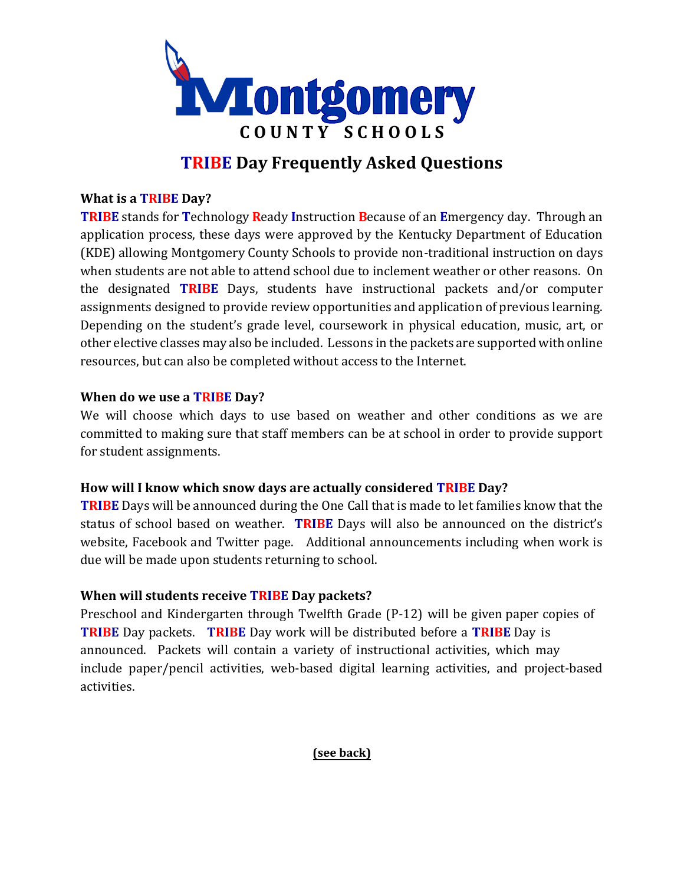

# **TRIBE Day Frequently Asked Questions**

#### **What is a TRIBE Day?**

**TRIBE** stands for **T**echnology **R**eady **I**nstruction **B**ecause of an **E**mergency day. Through an application process, these days were approved by the Kentucky Department of Education (KDE) allowing Montgomery County Schools to provide non-traditional instruction on days when students are not able to attend school due to inclement weather or other reasons. On the designated **TRIBE** Days, students have instructional packets and/or computer assignments designed to provide review opportunities and application of previous learning. Depending on the student's grade level, coursework in physical education, music, art, or other elective classes may also be included. Lessons in the packets are supported with online resources, but can also be completed without access to the Internet.

#### **When do we use a TRIBE Day?**

We will choose which days to use based on weather and other conditions as we are committed to making sure that staff members can be at school in order to provide support for student assignments.

#### **How will I know which snow days are actually considered TRIBE Day?**

**TRIBE** Days will be announced during the One Call that is made to let families know that the status of school based on weather. **TRIBE** Days will also be announced on the district's website, Facebook and Twitter page. Additional announcements including when work is due will be made upon students returning to school.

#### **When will students receive TRIBE Day packets?**

Preschool and Kindergarten through Twelfth Grade (P-12) will be given paper copies of **TRIBE** Day packets. **TRIBE** Day work will be distributed before a **TRIBE** Day is announced. Packets will contain a variety of instructional activities, which may include paper/pencil activities, web-based digital learning activities, and project-based activities.

## **(see back)**